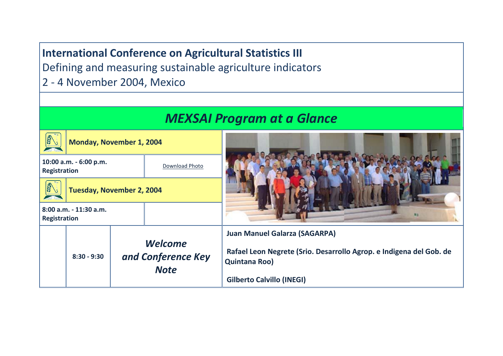**International Conference on Agricultural Statistics III**

Defining and measuring sustainable agriculture indicators

2 - 4 November 2004, Mexico

| <b>MEXSAI Program at a Glance</b>        |                          |                                                     |    |                                                                                      |  |
|------------------------------------------|--------------------------|-----------------------------------------------------|----|--------------------------------------------------------------------------------------|--|
| 经工                                       | Monday, November 1, 2004 |                                                     |    |                                                                                      |  |
| 10:00 a.m. - 6:00 p.m.<br>Registration   |                          | Download Photo                                      |    |                                                                                      |  |
| REAL<br><b>Tuesday, November 2, 2004</b> |                          |                                                     |    |                                                                                      |  |
| 8:00 a.m. - 11:30 a.m.<br>Registration   |                          |                                                     | 海生 |                                                                                      |  |
|                                          | $8:30 - 9:30$            |                                                     |    | <b>Juan Manuel Galarza (SAGARPA)</b>                                                 |  |
|                                          |                          | <b>Welcome</b><br>and Conference Key<br><b>Note</b> |    | Rafael Leon Negrete (Srio. Desarrollo Agrop. e Indigena del Gob. de<br>Quintana Roo) |  |
|                                          |                          |                                                     |    | <b>Gilberto Calvillo (INEGI)</b>                                                     |  |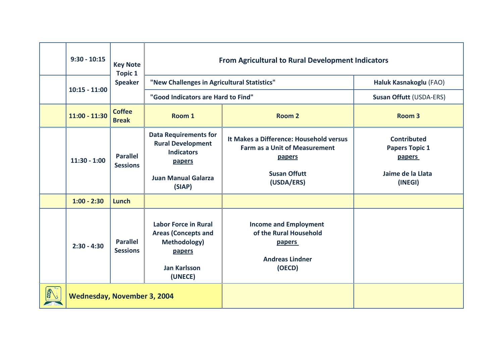| $9:30 - 10:15$                     | <b>Key Note</b><br><b>Topic 1</b><br><b>Speaker</b> | <b>From Agricultural to Rural Development Indicators</b>                                                                        |                                                                                                                                |                                                                                              |  |
|------------------------------------|-----------------------------------------------------|---------------------------------------------------------------------------------------------------------------------------------|--------------------------------------------------------------------------------------------------------------------------------|----------------------------------------------------------------------------------------------|--|
| $10:15 - 11:00$                    |                                                     | "New Challenges in Agricultural Statistics"                                                                                     |                                                                                                                                | Haluk Kasnakoglu (FAO)                                                                       |  |
|                                    |                                                     | "Good Indicators are Hard to Find"                                                                                              |                                                                                                                                | <b>Susan Offutt (USDA-ERS)</b>                                                               |  |
| $11:00 - 11:30$                    | <b>Coffee</b><br><b>Break</b>                       | Room 1                                                                                                                          | Room <sub>2</sub>                                                                                                              | Room <sub>3</sub>                                                                            |  |
| $11:30 - 1:00$                     | <b>Parallel</b><br><b>Sessions</b>                  | <b>Data Requirements for</b><br><b>Rural Development</b><br><b>Indicators</b><br>papers<br><b>Juan Manual Galarza</b><br>(SIAP) | It Makes a Difference: Household versus<br><b>Farm as a Unit of Measurement</b><br>papers<br><b>Susan Offutt</b><br>(USDA/ERS) | <b>Contributed</b><br><b>Papers Topic 1</b><br><b>papers</b><br>Jaime de la Llata<br>(INEGI) |  |
| $1:00 - 2:30$                      | Lunch                                               |                                                                                                                                 |                                                                                                                                |                                                                                              |  |
| $2:30 - 4:30$                      | <b>Parallel</b><br><b>Sessions</b>                  | <b>Labor Force in Rural</b><br><b>Areas (Concepts and</b><br>Methodology)<br>papers<br><b>Jan Karlsson</b><br>(UNECE)           | <b>Income and Employment</b><br>of the Rural Household<br><b>papers</b><br><b>Andreas Lindner</b><br>(OECD)                    |                                                                                              |  |
| <b>Wednesday, November 3, 2004</b> |                                                     |                                                                                                                                 |                                                                                                                                |                                                                                              |  |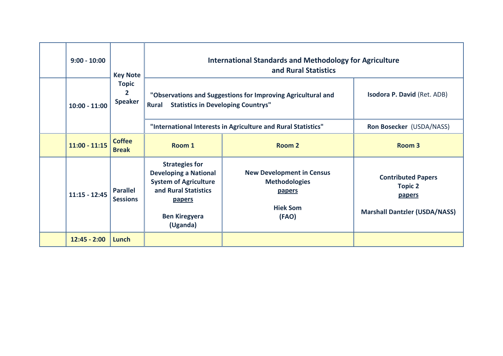| $9:00 - 10:00$  | <b>Key Note</b><br><b>Topic</b><br>$\overline{2}$<br><b>Speaker</b> | <b>International Standards and Methodology for Agriculture</b><br>and Rural Statistics                                                                             |                                                                                                       |                                                                                                      |
|-----------------|---------------------------------------------------------------------|--------------------------------------------------------------------------------------------------------------------------------------------------------------------|-------------------------------------------------------------------------------------------------------|------------------------------------------------------------------------------------------------------|
| $10:00 - 11:00$ |                                                                     | "Observations and Suggestions for Improving Agricultural and<br><b>Rural</b><br><b>Statistics in Developing Countrys"</b>                                          |                                                                                                       | <b>Isodora P. David (Ret. ADB)</b>                                                                   |
|                 |                                                                     | "International Interests in Agriculture and Rural Statistics"                                                                                                      |                                                                                                       | Ron Bosecker (USDA/NASS)                                                                             |
| $11:00 - 11:15$ | <b>Coffee</b><br><b>Break</b>                                       | Room 1                                                                                                                                                             | Room 2                                                                                                | Room <sub>3</sub>                                                                                    |
| $11:15 - 12:45$ | <b>Parallel</b><br><b>Sessions</b>                                  | <b>Strategies for</b><br><b>Developing a National</b><br><b>System of Agriculture</b><br>and Rural Statistics<br><u>papers</u><br><b>Ben Kiregyera</b><br>(Uganda) | <b>New Development in Census</b><br><b>Methodologies</b><br><b>papers</b><br><b>Hiek Som</b><br>(FAO) | <b>Contributed Papers</b><br><b>Topic 2</b><br><b>papers</b><br><b>Marshall Dantzler (USDA/NASS)</b> |
| $12:45 - 2:00$  | Lunch                                                               |                                                                                                                                                                    |                                                                                                       |                                                                                                      |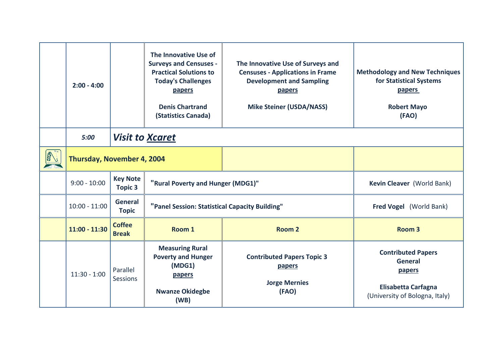| $2:00 - 4:00$              |                                | The Innovative Use of<br><b>Surveys and Censuses -</b><br><b>Practical Solutions to</b><br><b>Today's Challenges</b><br>papers<br><b>Denis Chartrand</b><br>(Statistics Canada) | The Innovative Use of Surveys and<br><b>Censuses - Applications in Frame</b><br><b>Development and Sampling</b><br>papers<br><b>Mike Steiner (USDA/NASS)</b> | <b>Methodology and New Techniques</b><br>for Statistical Systems<br><b>papers</b><br><b>Robert Mayo</b><br>(FAO)      |
|----------------------------|--------------------------------|---------------------------------------------------------------------------------------------------------------------------------------------------------------------------------|--------------------------------------------------------------------------------------------------------------------------------------------------------------|-----------------------------------------------------------------------------------------------------------------------|
| 5:00                       | <b>Visit to Xcaret</b>         |                                                                                                                                                                                 |                                                                                                                                                              |                                                                                                                       |
| Thursday, November 4, 2004 |                                |                                                                                                                                                                                 |                                                                                                                                                              |                                                                                                                       |
| $9:00 - 10:00$             | <b>Key Note</b><br>Topic 3     | "Rural Poverty and Hunger (MDG1)"                                                                                                                                               | Kevin Cleaver (World Bank)                                                                                                                                   |                                                                                                                       |
| $10:00 - 11:00$            | <b>General</b><br><b>Topic</b> | "Panel Session: Statistical Capacity Building"                                                                                                                                  | Fred Vogel (World Bank)                                                                                                                                      |                                                                                                                       |
| $11:00 - 11:30$            | <b>Coffee</b><br><b>Break</b>  | Room 1                                                                                                                                                                          | Room 2                                                                                                                                                       | Room <sub>3</sub>                                                                                                     |
| $11:30 - 1:00$             | Parallel<br><b>Sessions</b>    | <b>Measuring Rural</b><br><b>Poverty and Hunger</b><br>(MDG1)<br>papers<br><b>Nwanze Okidegbe</b><br>(WB)                                                                       | <b>Contributed Papers Topic 3</b><br>papers<br><b>Jorge Mernies</b><br>(FAO)                                                                                 | <b>Contributed Papers</b><br><b>General</b><br>papers<br><b>Elisabetta Carfagna</b><br>(University of Bologna, Italy) |